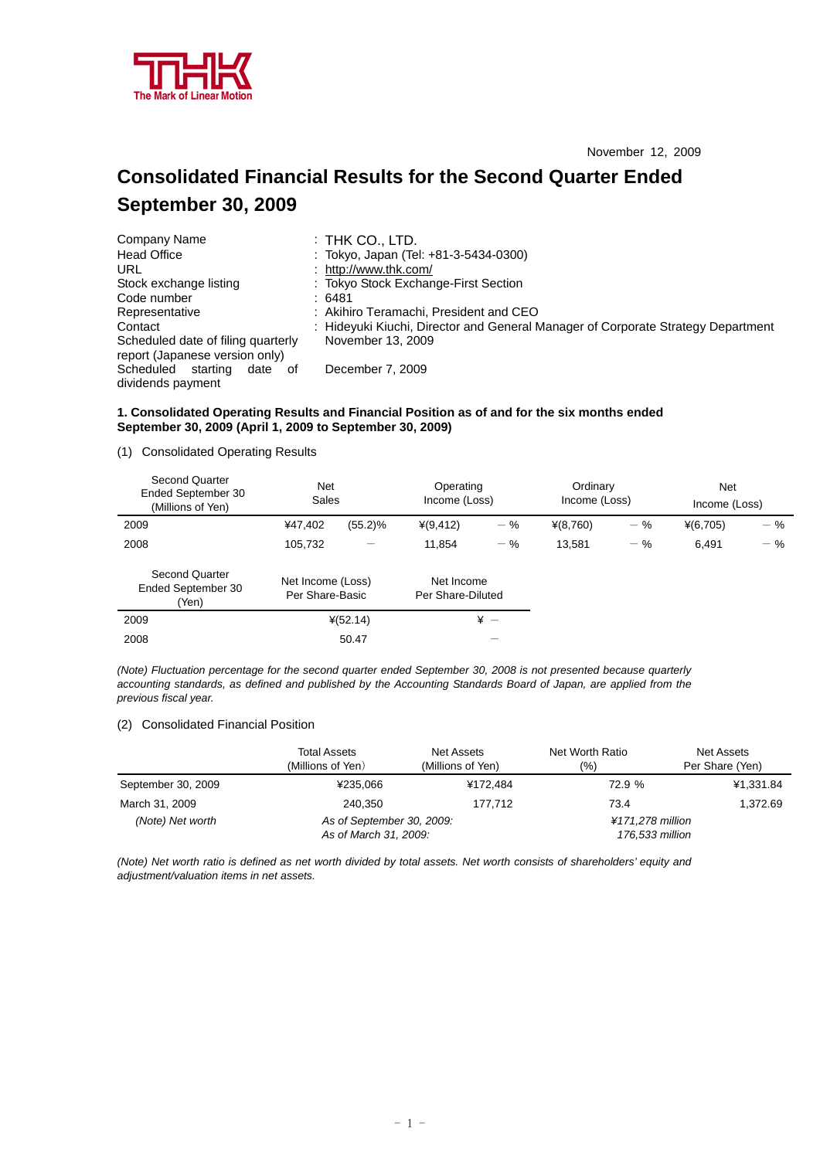

# **Consolidated Financial Results for the Second Quarter Ended September 30, 2009**

| Company Name                       | $:$ Thk Co., LTD.                                                                |
|------------------------------------|----------------------------------------------------------------------------------|
| <b>Head Office</b>                 | : Tokyo, Japan (Tel: +81-3-5434-0300)                                            |
| URL                                | : http://www.thk.com/                                                            |
| Stock exchange listing             | : Tokyo Stock Exchange-First Section                                             |
| Code number                        | :6481                                                                            |
| Representative                     | : Akihiro Teramachi, President and CEO                                           |
| Contact                            | : Hideyuki Kiuchi, Director and General Manager of Corporate Strategy Department |
| Scheduled date of filing quarterly | November 13, 2009                                                                |
| report (Japanese version only)     |                                                                                  |
| Scheduled<br>starting<br>date of   | December 7, 2009                                                                 |
| dividends payment                  |                                                                                  |

#### **1. Consolidated Operating Results and Financial Position as of and for the six months ended September 30, 2009 (April 1, 2009 to September 30, 2009)**

(1) Consolidated Operating Results

| Second Quarter<br>Ended September 30<br>(Millions of Yen) | Net<br><b>Sales</b>                  |            | Operating<br>Income (Loss)      |                 | Ordinary<br>Income (Loss) |       | Net<br>Income (Loss) |       |
|-----------------------------------------------------------|--------------------------------------|------------|---------------------------------|-----------------|---------------------------|-------|----------------------|-------|
| 2009                                                      | ¥47,402                              | (55.2)%    | $*(9, 412)$                     | $-$ %           | $*(8,760)$                | $-$ % | $*(6,705)$           | $-$ % |
| 2008                                                      | 105,732                              | —          | 11.854                          | $-$ %           | 13,581                    | $-$ % | 6.491                | $-$ % |
| <b>Second Quarter</b><br>Ended September 30<br>(Yen)      | Net Income (Loss)<br>Per Share-Basic |            | Net Income<br>Per Share-Diluted |                 |                           |       |                      |       |
| 2009                                                      |                                      | $*(52.14)$ |                                 | $\frac{1}{2}$ - |                           |       |                      |       |
| 2008                                                      |                                      | 50.47      |                                 |                 |                           |       |                      |       |

*(Note) Fluctuation percentage for the second quarter ended September 30, 2008 is not presented because quarterly accounting standards, as defined and published by the Accounting Standards Board of Japan, are applied from the previous fiscal year.* 

#### (2) Consolidated Financial Position

|                    | <b>Total Assets</b><br>(Millions of Yen)           | Net Assets<br>(Millions of Yen) | Net Worth Ratio<br>(%)              | Net Assets<br>Per Share (Yen) |
|--------------------|----------------------------------------------------|---------------------------------|-------------------------------------|-------------------------------|
| September 30, 2009 | ¥235,066                                           | ¥172.484                        | 72.9 %                              | ¥1,331.84                     |
| March 31, 2009     | 240.350                                            | 177.712                         | 73.4                                | 1,372.69                      |
| (Note) Net worth   | As of September 30, 2009:<br>As of March 31, 2009: |                                 | ¥171,278 million<br>176,533 million |                               |

*(Note) Net worth ratio is defined as net worth divided by total assets. Net worth consists of shareholders' equity and adjustment/valuation items in net assets.*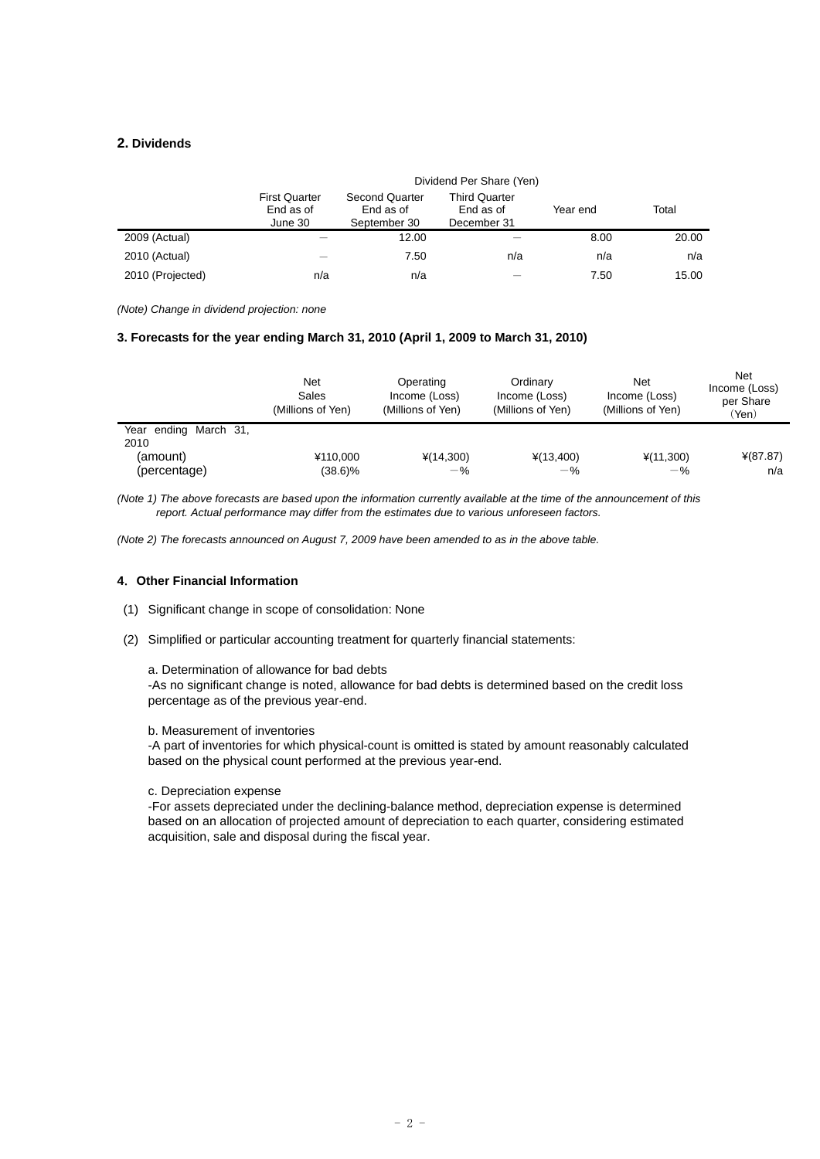#### **2. Dividends**

|                  | Dividend Per Share (Yen)                     |                                                    |                                                  |          |       |
|------------------|----------------------------------------------|----------------------------------------------------|--------------------------------------------------|----------|-------|
|                  | <b>First Quarter</b><br>End as of<br>June 30 | <b>Second Quarter</b><br>End as of<br>September 30 | <b>Third Quarter</b><br>End as of<br>December 31 | Year end | Total |
| 2009 (Actual)    |                                              | 12.00                                              |                                                  | 8.00     | 20.00 |
| 2010 (Actual)    |                                              | 7.50                                               | n/a                                              | n/a      | n/a   |
| 2010 (Projected) | n/a                                          | n/a                                                |                                                  | 7.50     | 15.00 |

*(Note) Change in dividend projection: none* 

#### **3. Forecasts for the year ending March 31, 2010 (April 1, 2009 to March 31, 2010)**

|                               | Net<br>Sales<br>(Millions of Yen) | Operating<br>Income (Loss)<br>(Millions of Yen) | Ordinary<br>Income (Loss)<br>(Millions of Yen) | Net<br>Income (Loss)<br>(Millions of Yen) | <b>Net</b><br>Income (Loss)<br>per Share<br>(Yen) |
|-------------------------------|-----------------------------------|-------------------------------------------------|------------------------------------------------|-------------------------------------------|---------------------------------------------------|
| Year ending March 31,<br>2010 |                                   |                                                 |                                                |                                           |                                                   |
| (amount)<br>(percentage)      | ¥110,000<br>$(38.6)\%$            | $*(14,300)$<br>$-$ %                            | ¥(13,400)<br>$-$ %                             | $*(11,300)$<br>$-$ %                      | $*(87.87)$<br>n/a                                 |

*(Note 1) The above forecasts are based upon the information currently available at the time of the announcement of this report. Actual performance may differ from the estimates due to various unforeseen factors.* 

*(Note 2) The forecasts announced on August 7, 2009 have been amended to as in the above table.* 

#### **4**.**Other Financial Information**

- (1) Significant change in scope of consolidation: None
- (2) Simplified or particular accounting treatment for quarterly financial statements:
	- a. Determination of allowance for bad debts

-As no significant change is noted, allowance for bad debts is determined based on the credit loss percentage as of the previous year-end.

b. Measurement of inventories

-A part of inventories for which physical-count is omitted is stated by amount reasonably calculated based on the physical count performed at the previous year-end.

c. Depreciation expense

-For assets depreciated under the declining-balance method, depreciation expense is determined based on an allocation of projected amount of depreciation to each quarter, considering estimated acquisition, sale and disposal during the fiscal year.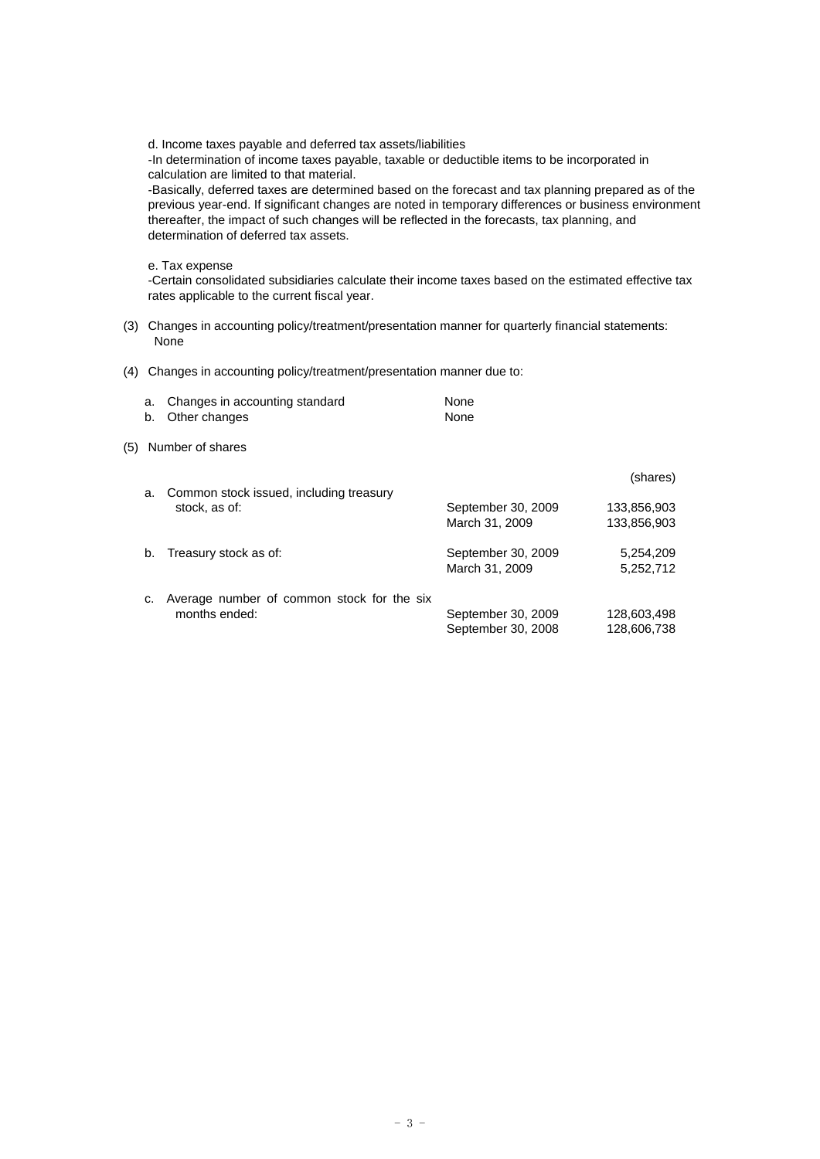d. Income taxes payable and deferred tax assets/liabilities

-In determination of income taxes payable, taxable or deductible items to be incorporated in calculation are limited to that material.

-Basically, deferred taxes are determined based on the forecast and tax planning prepared as of the previous year-end. If significant changes are noted in temporary differences or business environment thereafter, the impact of such changes will be reflected in the forecasts, tax planning, and determination of deferred tax assets.

e. Tax expense

-Certain consolidated subsidiaries calculate their income taxes based on the estimated effective tax rates applicable to the current fiscal year.

- (3) Changes in accounting policy/treatment/presentation manner for quarterly financial statements: None
- (4) Changes in accounting policy/treatment/presentation manner due to:

| a. Changes in accounting standard | None |
|-----------------------------------|------|
| b. Other changes                  | None |

(5) Number of shares

| a. | Common stock issued, including treasury                     |                                          | (shares)                   |
|----|-------------------------------------------------------------|------------------------------------------|----------------------------|
|    | stock, as of:                                               | September 30, 2009<br>March 31, 2009     | 133,856,903<br>133,856,903 |
| b. | Treasury stock as of:                                       | September 30, 2009<br>March 31, 2009     | 5,254,209<br>5,252,712     |
| C. | Average number of common stock for the six<br>months ended: | September 30, 2009<br>September 30, 2008 | 128,603,498<br>128,606,738 |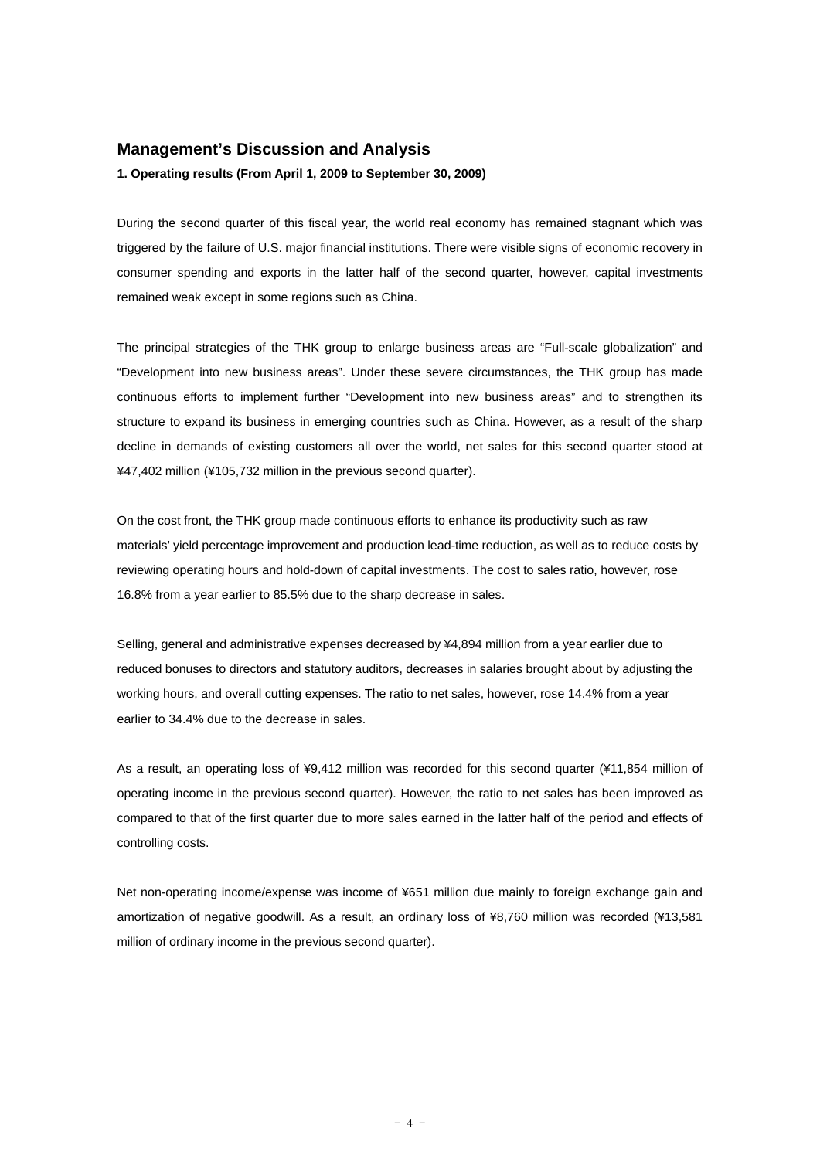### **Management's Discussion and Analysis**

**1. Operating results (From April 1, 2009 to September 30, 2009)** 

During the second quarter of this fiscal year, the world real economy has remained stagnant which was triggered by the failure of U.S. major financial institutions. There were visible signs of economic recovery in consumer spending and exports in the latter half of the second quarter, however, capital investments remained weak except in some regions such as China.

The principal strategies of the THK group to enlarge business areas are "Full-scale globalization" and "Development into new business areas". Under these severe circumstances, the THK group has made continuous efforts to implement further "Development into new business areas" and to strengthen its structure to expand its business in emerging countries such as China. However, as a result of the sharp decline in demands of existing customers all over the world, net sales for this second quarter stood at ¥47,402 million (¥105,732 million in the previous second quarter).

On the cost front, the THK group made continuous efforts to enhance its productivity such as raw materials' yield percentage improvement and production lead-time reduction, as well as to reduce costs by reviewing operating hours and hold-down of capital investments. The cost to sales ratio, however, rose 16.8% from a year earlier to 85.5% due to the sharp decrease in sales.

Selling, general and administrative expenses decreased by ¥4,894 million from a year earlier due to reduced bonuses to directors and statutory auditors, decreases in salaries brought about by adjusting the working hours, and overall cutting expenses. The ratio to net sales, however, rose 14.4% from a year earlier to 34.4% due to the decrease in sales.

As a result, an operating loss of ¥9,412 million was recorded for this second quarter (¥11,854 million of operating income in the previous second quarter). However, the ratio to net sales has been improved as compared to that of the first quarter due to more sales earned in the latter half of the period and effects of controlling costs.

Net non-operating income/expense was income of ¥651 million due mainly to foreign exchange gain and amortization of negative goodwill. As a result, an ordinary loss of ¥8,760 million was recorded (¥13,581 million of ordinary income in the previous second quarter).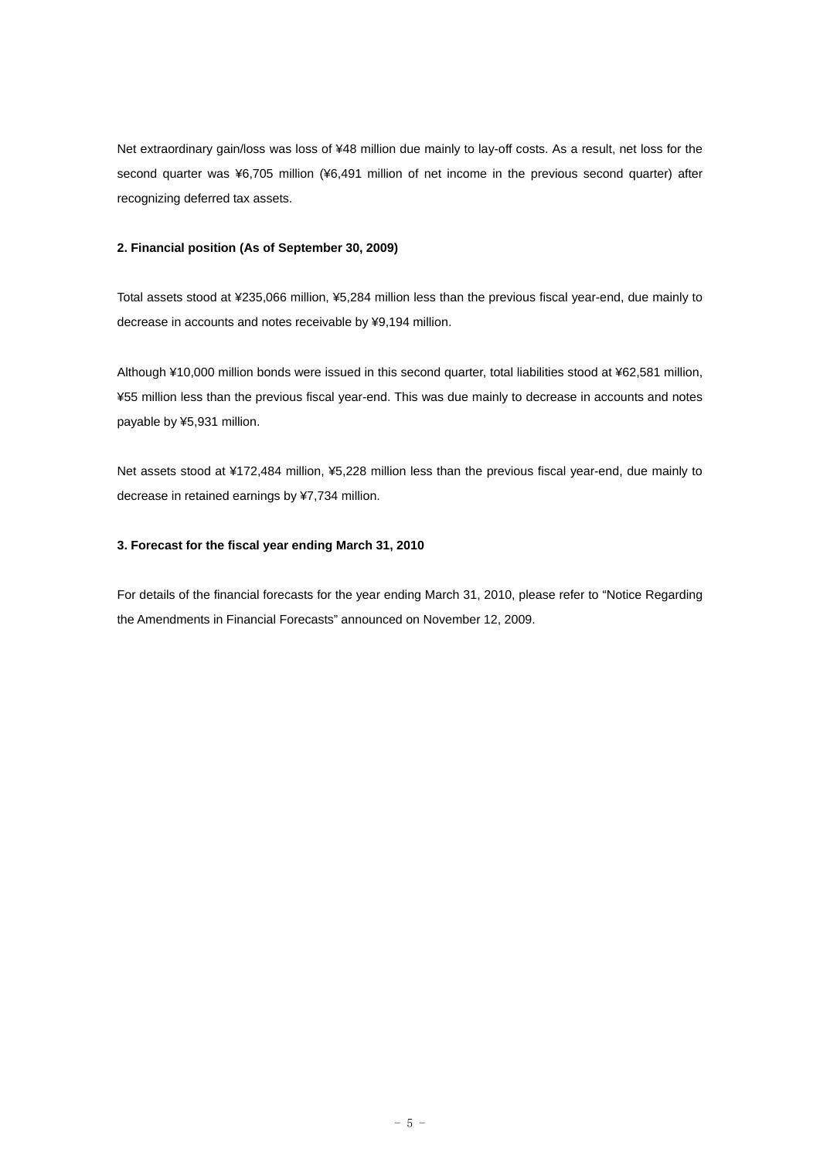Net extraordinary gain/loss was loss of ¥48 million due mainly to lay-off costs. As a result, net loss for the second quarter was ¥6,705 million (¥6,491 million of net income in the previous second quarter) after recognizing deferred tax assets.

#### **2. Financial position (As of September 30, 2009)**

Total assets stood at ¥235,066 million, ¥5,284 million less than the previous fiscal year-end, due mainly to decrease in accounts and notes receivable by ¥9,194 million.

Although ¥10,000 million bonds were issued in this second quarter, total liabilities stood at ¥62,581 million, ¥55 million less than the previous fiscal year-end. This was due mainly to decrease in accounts and notes payable by ¥5,931 million.

Net assets stood at ¥172,484 million, ¥5,228 million less than the previous fiscal year-end, due mainly to decrease in retained earnings by ¥7,734 million.

#### **3. Forecast for the fiscal year ending March 31, 2010**

For details of the financial forecasts for the year ending March 31, 2010, please refer to "Notice Regarding the Amendments in Financial Forecasts" announced on November 12, 2009.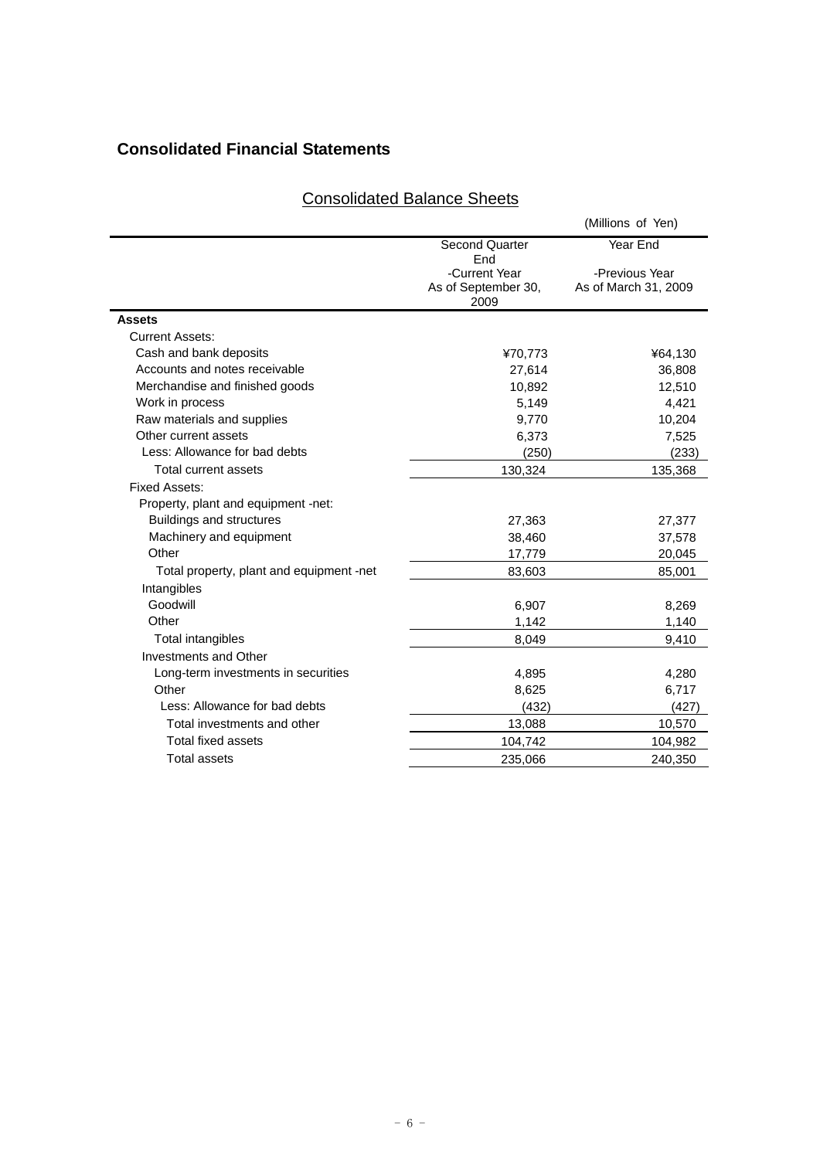### **Consolidated Financial Statements**

#### (Millions of Yen) Second Quarter End -Current Year Year End -Previous Year As of September 30, 2009 As of March 31, 2009 **Assets**  Current Assets: Cash and bank deposits  $\frac{470,773}{464,130}$ Accounts and notes receivable 27,614 36,808 Merchandise and finished goods 10,892 12,510 Work in process and the set of the set of the set of the set of the set of the set of the set of the set of the set of the set of the set of the set of the set of the set of the set of the set of the set of the set of the Raw materials and supplies and supplies and supplies and supplies and supplies and supplies and supplies and  $9,770$ Other current assets **6,373** 7,525 Less: Allowance for bad debts (250) (233) Total current assets 130,324 135,368 Fixed Assets: Property, plant and equipment -net: Buildings and structures 27,363 27,377 Machinery and equipment 38,460 37,578 Other 20,045 Total property, plant and equipment -net 83,603 85,001 **Intangibles** Goodwill 6,907 8,269 Other 1,142 1,140 Total intangibles 8,049 8,049 9,410 Investments and Other Long-term investments in securities and the securities of the 4,895 4,280 Other 8,625 6,717 Less: Allowance for bad debts (432) (427) Total investments and other 13,088 10,570 Total fixed assets 104,742 104,982

Total assets 235,066 240,350

## Consolidated Balance Sheets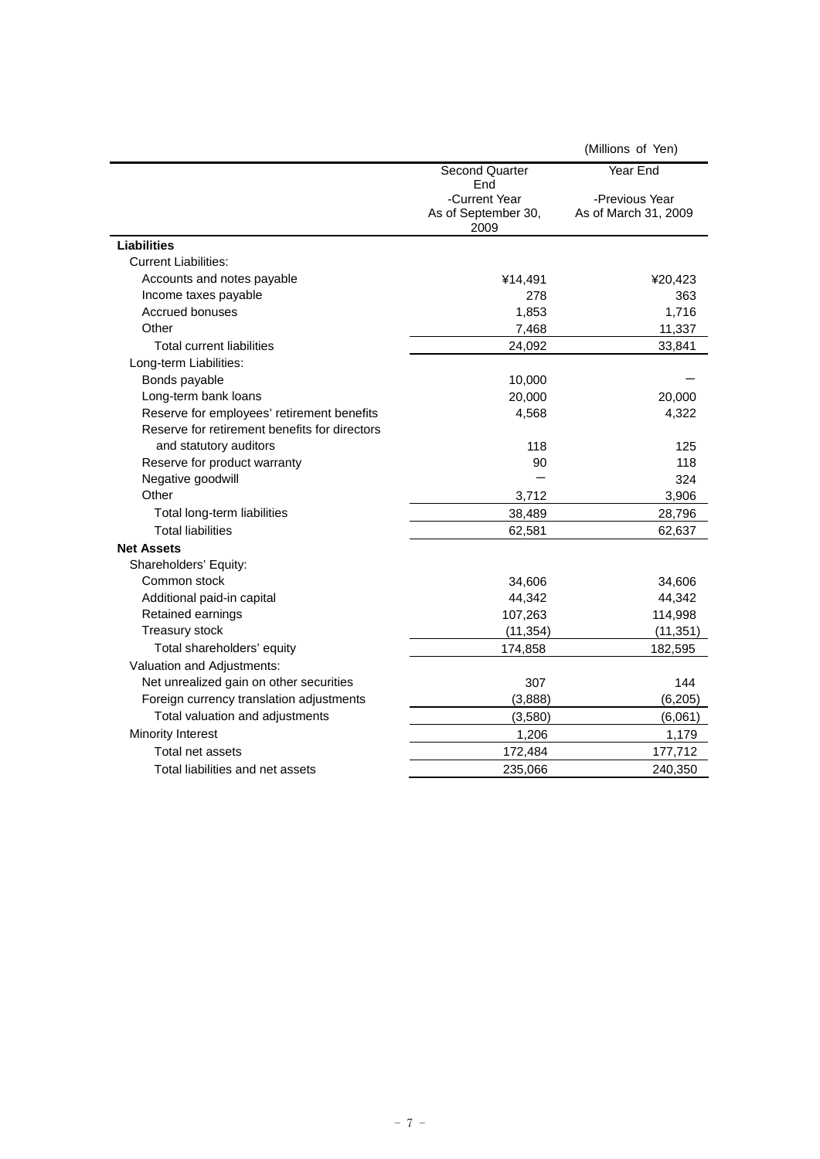|                                               |                                                     | (Millions of Yen)                      |
|-----------------------------------------------|-----------------------------------------------------|----------------------------------------|
|                                               | <b>Second Quarter</b>                               | Year End                               |
|                                               | End<br>-Current Year<br>As of September 30,<br>2009 | -Previous Year<br>As of March 31, 2009 |
| <b>Liabilities</b>                            |                                                     |                                        |
| <b>Current Liabilities:</b>                   |                                                     |                                        |
| Accounts and notes payable                    | ¥14,491                                             | ¥20,423                                |
| Income taxes payable                          | 278                                                 | 363                                    |
| <b>Accrued bonuses</b>                        | 1,853                                               | 1,716                                  |
| Other                                         | 7,468                                               | 11,337                                 |
| Total current liabilities                     | 24,092                                              | 33,841                                 |
| Long-term Liabilities:                        |                                                     |                                        |
| Bonds payable                                 | 10,000                                              |                                        |
| Long-term bank loans                          | 20,000                                              | 20,000                                 |
| Reserve for employees' retirement benefits    | 4,568                                               | 4,322                                  |
| Reserve for retirement benefits for directors |                                                     |                                        |
| and statutory auditors                        | 118                                                 | 125                                    |
| Reserve for product warranty                  | 90                                                  | 118                                    |
| Negative goodwill                             |                                                     | 324                                    |
| Other                                         | 3,712                                               | 3,906                                  |
| Total long-term liabilities                   | 38,489                                              | 28,796                                 |
| <b>Total liabilities</b>                      | 62,581                                              | 62,637                                 |
| <b>Net Assets</b>                             |                                                     |                                        |
| Shareholders' Equity:                         |                                                     |                                        |
| Common stock                                  | 34,606                                              | 34,606                                 |
| Additional paid-in capital                    | 44,342                                              | 44,342                                 |
| Retained earnings                             | 107,263                                             | 114,998                                |
| Treasury stock                                | (11, 354)                                           | (11, 351)                              |
| Total shareholders' equity                    | 174,858                                             | 182,595                                |
| Valuation and Adjustments:                    |                                                     |                                        |
| Net unrealized gain on other securities       | 307                                                 | 144                                    |
| Foreign currency translation adjustments      | (3,888)                                             | (6, 205)                               |
| Total valuation and adjustments               | (3,580)                                             | (6,061)                                |
| Minority Interest                             | 1,206                                               | 1,179                                  |
| Total net assets                              | 172,484                                             | 177,712                                |
| Total liabilities and net assets              | 235,066                                             | 240.350                                |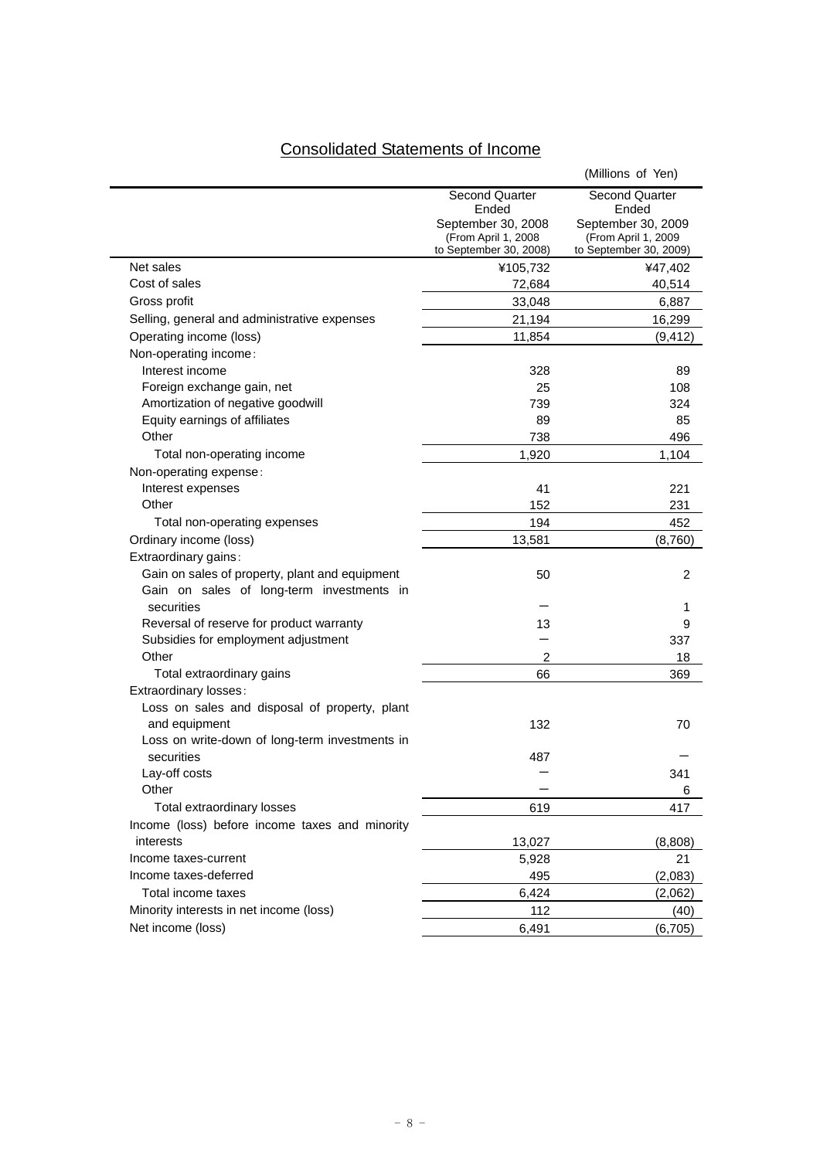## Consolidated Statements of Income

|                                                |                                           | (Millions of Yen)                         |
|------------------------------------------------|-------------------------------------------|-------------------------------------------|
|                                                | <b>Second Quarter</b>                     | <b>Second Quarter</b>                     |
|                                                | Ended                                     | Ended                                     |
|                                                | September 30, 2008<br>(From April 1, 2008 | September 30, 2009<br>(From April 1, 2009 |
|                                                | to September 30, 2008)                    | to September 30, 2009)                    |
| Net sales                                      | ¥105,732                                  | ¥47,402                                   |
| Cost of sales                                  | 72,684                                    | 40,514                                    |
| Gross profit                                   | 33,048                                    | 6,887                                     |
| Selling, general and administrative expenses   | 21,194                                    | 16,299                                    |
| Operating income (loss)                        | 11,854                                    | (9, 412)                                  |
| Non-operating income:                          |                                           |                                           |
| Interest income                                | 328                                       | 89                                        |
| Foreign exchange gain, net                     | 25                                        | 108                                       |
| Amortization of negative goodwill              | 739                                       | 324                                       |
| Equity earnings of affiliates                  | 89                                        | 85                                        |
| Other                                          | 738                                       | 496                                       |
| Total non-operating income                     | 1,920                                     | 1,104                                     |
| Non-operating expense:                         |                                           |                                           |
| Interest expenses                              | 41                                        | 221                                       |
| Other                                          | 152                                       | 231                                       |
| Total non-operating expenses                   | 194                                       | 452                                       |
| Ordinary income (loss)                         | 13,581                                    | (8,760)                                   |
| Extraordinary gains:                           |                                           |                                           |
| Gain on sales of property, plant and equipment | 50                                        | 2                                         |
| Gain on sales of long-term investments in      |                                           |                                           |
| securities                                     |                                           | 1                                         |
| Reversal of reserve for product warranty       | 13                                        | 9                                         |
| Subsidies for employment adjustment            |                                           | 337                                       |
| Other                                          | 2                                         | 18                                        |
| Total extraordinary gains                      | 66                                        | 369                                       |
| Extraordinary losses:                          |                                           |                                           |
| Loss on sales and disposal of property, plant  |                                           |                                           |
| and equipment                                  | 132                                       | 70                                        |
| Loss on write-down of long-term investments in |                                           |                                           |
| securities                                     | 487                                       |                                           |
| Lay-off costs                                  |                                           | 341                                       |
| Other                                          |                                           | 6                                         |
| Total extraordinary losses                     | 619                                       | 417                                       |
| Income (loss) before income taxes and minority |                                           |                                           |
| interests                                      | 13,027                                    | (8,808)                                   |
| Income taxes-current                           | 5,928                                     | 21                                        |
| Income taxes-deferred                          | 495                                       | (2,083)                                   |
| Total income taxes                             | 6,424                                     | (2,062)                                   |
| Minority interests in net income (loss)        | 112                                       | (40)                                      |
| Net income (loss)                              | 6,491                                     | (6, 705)                                  |